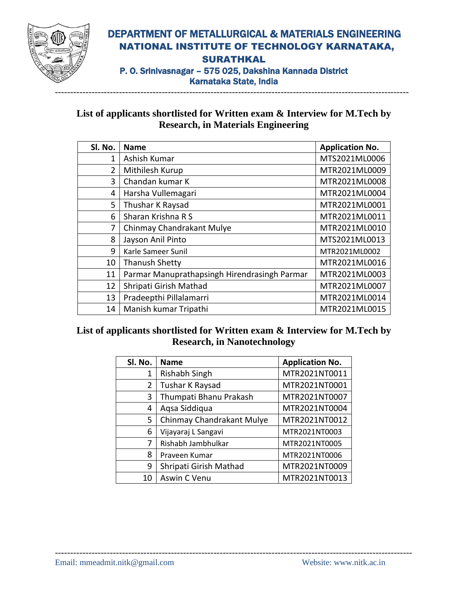

## DEPARTMENT OF METALLURGICAL & MATERIALS ENGINEERING NATIONAL INSTITUTE OF TECHNOLOGY KARNATAKA, **SURATHKAL** P. O. Srinivasnagar – 575 025, Dakshina Kannada District Karnataka State, India

#### **List of applicants shortlisted for Written exam & Interview for M.Tech by Research, in Materials Engineering**

| Sl. No. | <b>Name</b>                                  | <b>Application No.</b> |
|---------|----------------------------------------------|------------------------|
| 1       | Ashish Kumar                                 | MTS2021ML0006          |
| 2       | Mithilesh Kurup                              | MTR2021ML0009          |
| 3       | Chandan kumar K                              | MTR2021ML0008          |
| 4       | Harsha Vullemagari                           | MTR2021ML0004          |
| 5       | Thushar K Raysad                             | MTR2021ML0001          |
| 6       | Sharan Krishna R S                           | MTR2021ML0011          |
| 7       | Chinmay Chandrakant Mulye                    | MTR2021ML0010          |
| 8       | Jayson Anil Pinto                            | MTS2021ML0013          |
| 9       | Karle Sameer Sunil                           | MTR2021ML0002          |
| 10      | <b>Thanush Shetty</b>                        | MTR2021ML0016          |
| 11      | Parmar Manuprathapsingh Hirendrasingh Parmar | MTR2021ML0003          |
| 12      | Shripati Girish Mathad                       | MTR2021ML0007          |
| 13      | Pradeepthi Pillalamarri                      | MTR2021ML0014          |
| 14      | Manish kumar Tripathi                        | MTR2021ML0015          |

## **List of applicants shortlisted for Written exam & Interview for M.Tech by Research, in Nanotechnology**

| SI. No. | <b>Name</b>               | <b>Application No.</b> |
|---------|---------------------------|------------------------|
| 1       | Rishabh Singh             | MTR2021NT0011          |
| 2       | Tushar K Raysad           | MTR2021NT0001          |
| 3       | Thumpati Bhanu Prakash    | MTR2021NT0007          |
| 4       | Agsa Siddiqua             | MTR2021NT0004          |
| 5       | Chinmay Chandrakant Mulye | MTR2021NT0012          |
| 6       | Vijayaraj L Sangavi       | MTR2021NT0003          |
| 7       | Rishabh Jambhulkar        | MTR2021NT0005          |
| 8       | Praveen Kumar             | MTR2021NT0006          |
| 9       | Shripati Girish Mathad    | MTR2021NT0009          |
| 10      | Aswin C Venu              | MTR2021NT0013          |

#### Email: mmeadmit.nitk@gmail.com Website: www.nitk.ac.in

---------------------------------------------------------------------------------------------------------------------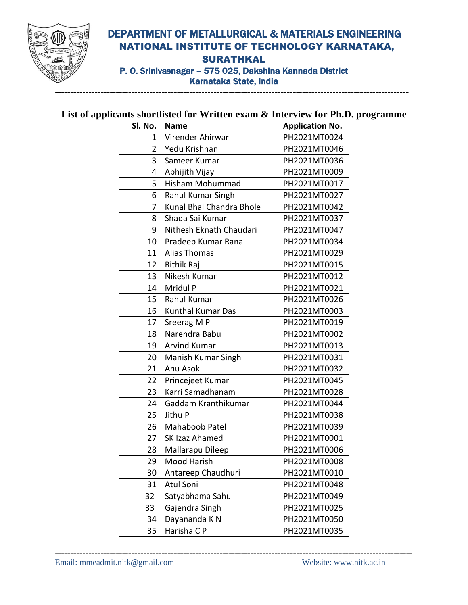

## DEPARTMENT OF METALLURGICAL & MATERIALS ENGINEERING NATIONAL INSTITUTE OF TECHNOLOGY KARNATAKA, SURATHKAL P. O. Srinivasnagar – 575 025, Dakshina Kannada District Karnataka State, India

#### **List of applicants shortlisted for Written exam & Interview for Ph.D. programme**

| Sl. No.                         | <b>Name</b>              | <b>Application No.</b> |  |
|---------------------------------|--------------------------|------------------------|--|
| 1                               | Virender Ahirwar         | PH2021MT0024           |  |
| Yedu Krishnan<br>$\overline{2}$ |                          | PH2021MT0046           |  |
| 3                               | Sameer Kumar             | PH2021MT0036           |  |
| 4                               | Abhijith Vijay           | PH2021MT0009           |  |
| 5                               | Hisham Mohummad          | PH2021MT0017           |  |
| 6                               | Rahul Kumar Singh        | PH2021MT0027           |  |
| 7                               | Kunal Bhal Chandra Bhole | PH2021MT0042           |  |
| 8                               | Shada Sai Kumar          | PH2021MT0037           |  |
| 9                               | Nithesh Eknath Chaudari  | PH2021MT0047           |  |
| 10                              | Pradeep Kumar Rana       | PH2021MT0034           |  |
| 11                              | <b>Alias Thomas</b>      | PH2021MT0029           |  |
| 12                              | Rithik Raj               | PH2021MT0015           |  |
| 13                              | Nikesh Kumar             | PH2021MT0012           |  |
| 14                              | Mridul P                 | PH2021MT0021           |  |
| 15                              | Rahul Kumar              | PH2021MT0026           |  |
| 16                              | <b>Kunthal Kumar Das</b> | PH2021MT0003           |  |
| 17                              | Sreerag M P              | PH2021MT0019           |  |
| 18                              | Narendra Babu            | PH2021MT0002           |  |
| 19                              | <b>Arvind Kumar</b>      | PH2021MT0013           |  |
| 20                              | Manish Kumar Singh       | PH2021MT0031           |  |
| 21                              | Anu Asok                 | PH2021MT0032           |  |
| 22                              | Princejeet Kumar         | PH2021MT0045           |  |
| 23                              | Karri Samadhanam         | PH2021MT0028           |  |
| 24                              | Gaddam Kranthikumar      | PH2021MT0044           |  |
| 25                              | Jithu P                  | PH2021MT0038           |  |
| 26                              | Mahaboob Patel           | PH2021MT0039           |  |
| 27                              | SK Izaz Ahamed           | PH2021MT0001           |  |
| 28                              | Mallarapu Dileep         | PH2021MT0006           |  |
| 29                              | Mood Harish              | PH2021MT0008           |  |
| 30                              | Antareep Chaudhuri       | PH2021MT0010           |  |
| 31                              | <b>Atul Soni</b>         | PH2021MT0048           |  |
| 32                              | Satyabhama Sahu          | PH2021MT0049           |  |
| 33                              | Gajendra Singh           | PH2021MT0025           |  |
| 34                              | Dayananda K N            | PH2021MT0050           |  |
| 35                              | Harisha CP               | PH2021MT0035           |  |

---------------------------------------------------------------------------------------------------------------------

--------------------------------------------------------------------------------------------------------------------